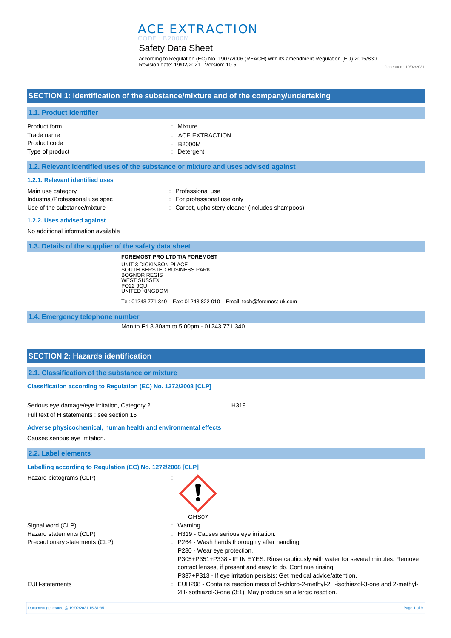# ACE EXTRACTION

## Safety Data Sheet CODE : B2000M

according to Regulation (EC) No. 1907/2006 (REACH) with its amendment Regulation (EU) 2015/830 Revision date: 19/02/2021 Version: 10.5

Generated : 19/02/2021

# **SECTION 1: Identification of the substance/mixture and of the company/undertaking**

# **1.1. Product identifier**

| Product form    | : Mixture                   |
|-----------------|-----------------------------|
| Trade name      | $\therefore$ ACE EXTRACTION |
| Product code    | $\therefore$ B2000M         |
| Type of product | : Detergent                 |

## **1.2. Relevant identified uses of the substance or mixture and uses advised against**

#### **1.2.1. Relevant identified uses**

| Main use category                | : Professional use                               |
|----------------------------------|--------------------------------------------------|
| Industrial/Professional use spec | : For professional use only                      |
| Use of the substance/mixture     | : Carpet, upholstery cleaner (includes shampoos) |

#### **1.2.2. Uses advised against**

No additional information available

**1.3. Details of the supplier of the safety data sheet**

**FOREMOST PRO LTD T/A FOREMOST** UNIT 3 DICKINSON PLACE SOUTH BERSTED BUSINESS PARK BOGNOR REGIS WEST SUSSEX PO22 9QU UNITED KINGDOM

Tel: 01243 771 340 Fax: 01243 822 010 Email: tech@foremost-uk.com

**1.4. Emergency telephone number**

Mon to Fri 8.30am to 5.00pm - 01243 771 340

GHS07

P280 - Wear eye protection.

P305+P351+P338 - IF IN EYES: Rinse cautiously with water for several minutes. Remove

contact lenses, if present and easy to do. Continue rinsing. P337+P313 - If eye irritation persists: Get medical advice/attention.

2H-isothiazol-3-one (3:1). May produce an allergic reaction.

# **SECTION 2: Hazards identification**

**2.1. Classification of the substance or mixture**

## **Classification according to Regulation (EC) No. 1272/2008 [CLP]**

Serious eye damage/eye irritation, Category 2 <br>
H319 Full text of H statements : see section 16

**Adverse physicochemical, human health and environmental effects** 

Causes serious eye irritation.

**2.2. Label elements**

**Labelling according to Regulation (EC) No. 1272/2008 [CLP]** 

Hazard pictograms (CLP) :

Signal word (CLP)  $\qquad \qquad$ : Warning Hazard statements (CLP)  $\qquad \qquad$ : H319 - Causes serious eye irritation. Precautionary statements (CLP) : P264 - Wash hands thoroughly after handling.

EUH-statements : EUH208 - Contains reaction mass of 5-chloro-2-methyl-2H-isothiazol-3-one and 2-methyl-

Document generated @ 19/02/2021 15:31:35 Page 1 of 9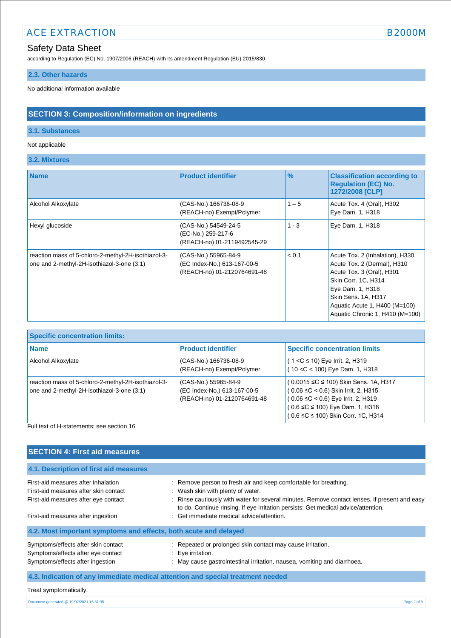# ACE EXTRACTION B2000M

# Safety Data Sheet

according to Regulation (EC) No. 1907/2006 (REACH) with its amendment Regulation (EU) 2015/830

# **2.3. Other hazards**

No additional information available

# **SECTION 3: Composition/information on ingredients**

# **3.1. Substances**

# Not applicable

**3.2. Mixtures**

| <b>Name</b>                                                                                       | <b>Product identifier</b>                                                          | $\frac{9}{6}$ | <b>Classification according to</b><br><b>Regulation (EC) No.</b><br>1272/2008 [CLP]                                                                                                                                               |
|---------------------------------------------------------------------------------------------------|------------------------------------------------------------------------------------|---------------|-----------------------------------------------------------------------------------------------------------------------------------------------------------------------------------------------------------------------------------|
| Alcohol Alkoxylate                                                                                | (CAS-No.) 166736-08-9<br>(REACH-no) Exempt/Polymer                                 | $1 - 5$       | Acute Tox. 4 (Oral), H302<br>Eye Dam. 1, H318                                                                                                                                                                                     |
| Hexyl glucoside                                                                                   | (CAS-No.) 54549-24-5<br>(EC-No.) 259-217-6<br>(REACH-no) 01-2119492545-29          | $1 - 3$       | Eye Dam. 1, H318                                                                                                                                                                                                                  |
| reaction mass of 5-chloro-2-methyl-2H-isothiazol-3-<br>one and 2-methyl-2H-isothiazol-3-one (3:1) | (CAS-No.) 55965-84-9<br>(EC Index-No.) 613-167-00-5<br>(REACH-no) 01-2120764691-48 | < 0.1         | Acute Tox. 2 (Inhalation), H330<br>Acute Tox. 2 (Dermal), H310<br>Acute Tox. 3 (Oral), H301<br>Skin Corr. 1C, H314<br>Eye Dam. 1, H318<br>Skin Sens. 1A, H317<br>Aquatic Acute 1, H400 (M=100)<br>Aquatic Chronic 1, H410 (M=100) |

| <b>Specific concentration limits:</b>                                                               |                                                                                    |                                                                                                                                                                                                    |
|-----------------------------------------------------------------------------------------------------|------------------------------------------------------------------------------------|----------------------------------------------------------------------------------------------------------------------------------------------------------------------------------------------------|
| <b>Name</b>                                                                                         | <b>Product identifier</b>                                                          | <b>Specific concentration limits</b>                                                                                                                                                               |
| Alcohol Alkoxylate                                                                                  | (CAS-No.) 166736-08-9<br>(REACH-no) Exempt/Polymer                                 | $(1 < C \le 10)$ Eye Irrit. 2, H319<br>(10 < C < 100) Eye Dam. 1, H318                                                                                                                             |
| reaction mass of 5-chloro-2-methyl-2H-isothiazol-3-<br>one and 2-methyl-2H-isothiazol-3-one $(3:1)$ | (CAS-No.) 55965-84-9<br>(EC Index-No.) 613-167-00-5<br>(REACH-no) 01-2120764691-48 | (0.0015 ≤C ≤ 100) Skin Sens. 1A, H317<br>( 0.06 ≤C < 0.6) Skin Irrit. 2, H315<br>$(0.06 \leq C < 0.6)$ Eye Irrit. 2, H319<br>(0.6 ≤C ≤ 100) Eye Dam. 1, H318<br>(0.6 ≤C ≤ 100) Skin Corr. 1C, H314 |

# Full text of H-statements: see section 16

| <b>SECTION 4: First aid measures</b>                                                                                                                       |                                                                                                                                                                                                                                                                                                                                           |
|------------------------------------------------------------------------------------------------------------------------------------------------------------|-------------------------------------------------------------------------------------------------------------------------------------------------------------------------------------------------------------------------------------------------------------------------------------------------------------------------------------------|
| 4.1. Description of first aid measures                                                                                                                     |                                                                                                                                                                                                                                                                                                                                           |
| First-aid measures after inhalation<br>First-aid measures after skin contact<br>First-aid measures after eye contact<br>First-aid measures after ingestion | : Remove person to fresh air and keep comfortable for breathing.<br>: Wash skin with plenty of water.<br>: Rinse cautiously with water for several minutes. Remove contact lenses, if present and easy<br>to do. Continue rinsing. If eye irritation persists: Get medical advice/attention.<br>: Get immediate medical advice/attention. |
| 4.2. Most important symptoms and effects, both acute and delayed                                                                                           |                                                                                                                                                                                                                                                                                                                                           |
| Symptoms/effects after skin contact<br>Symptoms/effects after eye contact<br>Symptoms/effects after ingestion                                              | : Repeated or prolonged skin contact may cause irritation.<br>$: Eye$ irritation.<br>: May cause gastrointestinal irritation, nausea, vomiting and diarrhoea.                                                                                                                                                                             |
| 4.3. Indication of any immediate medical attention and special treatment needed                                                                            |                                                                                                                                                                                                                                                                                                                                           |
| Treat symptomatically.                                                                                                                                     |                                                                                                                                                                                                                                                                                                                                           |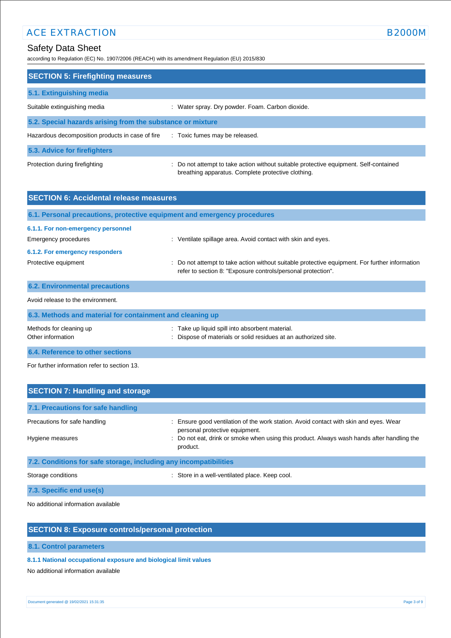# ACE EXTRACTION B2000M

according to Regulation (EC) No. 1907/2006 (REACH) with its amendment Regulation (EU) 2015/830

| <b>SECTION 5: Firefighting measures</b>                    |                                                                                       |
|------------------------------------------------------------|---------------------------------------------------------------------------------------|
| 5.1. Extinguishing media                                   |                                                                                       |
| Suitable extinguishing media                               | : Water spray. Dry powder. Foam. Carbon dioxide.                                      |
| 5.2. Special hazards arising from the substance or mixture |                                                                                       |
| Hazardous decomposition products in case of fire           | : Toxic fumes may be released.                                                        |
| 5.3. Advice for firefighters                               |                                                                                       |
| Protection during firefighting                             | : Do not attempt to take action without suitable protective equipment. Self-contained |

breathing apparatus. Complete protective clothing.

| <b>SECTION 6: Accidental release measures</b>              |                                                                                                                                                                |
|------------------------------------------------------------|----------------------------------------------------------------------------------------------------------------------------------------------------------------|
|                                                            | 6.1. Personal precautions, protective equipment and emergency procedures                                                                                       |
| 6.1.1. For non-emergency personnel<br>Emergency procedures | : Ventilate spillage area. Avoid contact with skin and eyes.                                                                                                   |
| 6.1.2. For emergency responders                            |                                                                                                                                                                |
| Protective equipment                                       | : Do not attempt to take action without suitable protective equipment. For further information<br>refer to section 8: "Exposure controls/personal protection". |
| <b>6.2. Environmental precautions</b>                      |                                                                                                                                                                |
| Avoid release to the environment.                          |                                                                                                                                                                |
| 6.3. Methods and material for containment and cleaning up  |                                                                                                                                                                |
|                                                            |                                                                                                                                                                |

| Methods for cleaning up          | : Take up liquid spill into absorbent material.                 |
|----------------------------------|-----------------------------------------------------------------|
| Other information                | : Dispose of materials or solid residues at an authorized site. |
| 6.4. Reference to other sections |                                                                 |

For further information refer to section 13.

| <b>SECTION 7: Handling and storage</b>                            |                                                                                                                       |
|-------------------------------------------------------------------|-----------------------------------------------------------------------------------------------------------------------|
| 7.1. Precautions for safe handling                                |                                                                                                                       |
| Precautions for safe handling                                     | Ensure good ventilation of the work station. Avoid contact with skin and eyes. Wear<br>personal protective equipment. |
| Hygiene measures                                                  | : Do not eat, drink or smoke when using this product. Always wash hands after handling the<br>product.                |
| 7.2. Conditions for safe storage, including any incompatibilities |                                                                                                                       |
| Storage conditions                                                | : Store in a well-ventilated place. Keep cool.                                                                        |
|                                                                   |                                                                                                                       |

**7.3. Specific end use(s)**

No additional information available

# **SECTION 8: Exposure controls/personal protection**

**8.1. Control parameters**

# **8.1.1 National occupational exposure and biological limit values**

No additional information available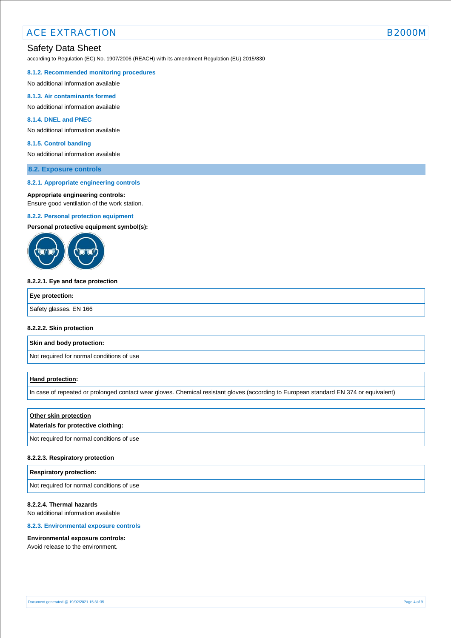according to Regulation (EC) No. 1907/2006 (REACH) with its amendment Regulation (EU) 2015/830

#### **8.1.2. Recommended monitoring procedures**

No additional information available

#### **8.1.3. Air contaminants formed**

No additional information available

# **8.1.4. DNEL and PNEC**

No additional information available

#### **8.1.5. Control banding**

No additional information available

# **8.2. Exposure controls**

#### **8.2.1. Appropriate engineering controls**

#### **Appropriate engineering controls:**

Ensure good ventilation of the work station.

#### **8.2.2. Personal protection equipment**

**Personal protective equipment symbol(s):**



#### **8.2.2.1. Eye and face protection**

| Safety glasses. EN 166 | Eye protection: |  |
|------------------------|-----------------|--|
|                        |                 |  |

#### **8.2.2.2. Skin protection**

**Skin and body protection:**

Not required for normal conditions of use

## **Hand protection:**

In case of repeated or prolonged contact wear gloves. Chemical resistant gloves (according to European standard EN 374 or equivalent)

## **Other skin protection**

# **Materials for protective clothing:**

Not required for normal conditions of use

#### **8.2.2.3. Respiratory protection**

#### **Respiratory protection:**

Not required for normal conditions of use

# **8.2.2.4. Thermal hazards**

No additional information available

# **8.2.3. Environmental exposure controls**

## **Environmental exposure controls:**

Avoid release to the environment.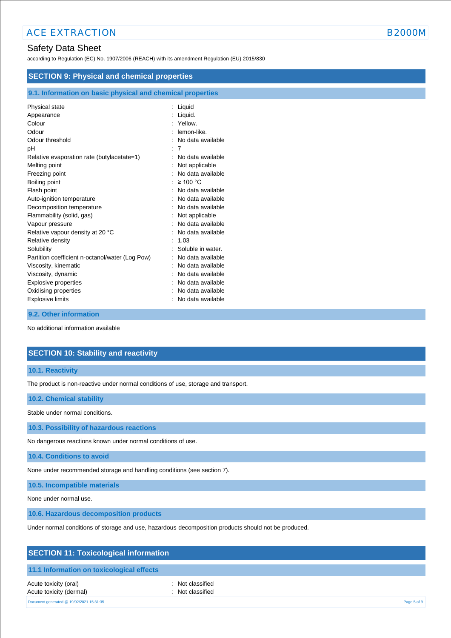according to Regulation (EC) No. 1907/2006 (REACH) with its amendment Regulation (EU) 2015/830

| <b>SECTION 9: Physical and chemical properties</b>         |                     |
|------------------------------------------------------------|---------------------|
| 9.1. Information on basic physical and chemical properties |                     |
| Physical state                                             | : Liquid            |
| Appearance                                                 | : Liquid.           |
| Colour                                                     | Yellow.             |
| Odour                                                      | lemon-like.         |
| Odour threshold                                            | : No data available |
| рH                                                         | : 7                 |
| Relative evaporation rate (butylacetate=1)                 | No data available   |
| Melting point                                              | : Not applicable    |
| Freezing point                                             | No data available   |
| Boiling point                                              | : $\geq 100$ °C     |
| Flash point                                                | : No data available |
| Auto-ignition temperature                                  | No data available   |
| Decomposition temperature                                  | No data available   |
| Flammability (solid, gas)                                  | Not applicable      |
| Vapour pressure                                            | No data available   |
| Relative vapour density at 20 °C                           | No data available   |
| Relative density                                           | 1.03                |
| Solubility                                                 | Soluble in water.   |
| Partition coefficient n-octanol/water (Log Pow)            | : No data available |
| Viscosity, kinematic                                       | No data available   |
| Viscosity, dynamic                                         | No data available   |
| Explosive properties                                       | No data available   |
| Oxidising properties                                       | No data available   |
| <b>Explosive limits</b>                                    | No data available   |

## **9.2. Other information**

No additional information available

# **SECTION 10: Stability and reactivity**

## **10.1. Reactivity**

The product is non-reactive under normal conditions of use, storage and transport.

## **10.2. Chemical stability**

Stable under normal conditions.

**10.3. Possibility of hazardous reactions**

No dangerous reactions known under normal conditions of use.

**10.4. Conditions to avoid**

None under recommended storage and handling conditions (see section 7).

**10.5. Incompatible materials**

None under normal use.

**10.6. Hazardous decomposition products**

Under normal conditions of storage and use, hazardous decomposition products should not be produced.

| <b>SECTION 11: Toxicological information</b> |
|----------------------------------------------|
|----------------------------------------------|

# **11.1 Information on toxicological effects**

Acute toxicity (oral) **interval** to the control of the control of the control of the control of the control of the control of the control of the control of the control of the control of the control of the control of the co Acute toxicity (dermal) **Example 2** Constant Constant Constant Constant Constant Constant Constant Constant Constant Constant Constant Constant Constant Constant Constant Constant Constant Constant Constant Constant Consta Document generated @ 19/02/2021 15:31:35 Page 5 of 9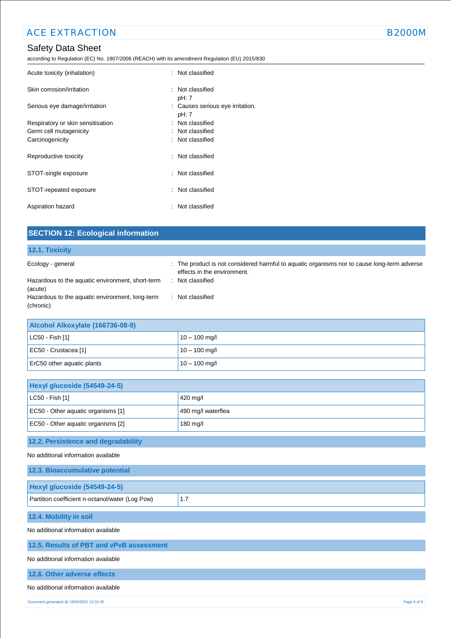according to Regulation (EC) No. 1907/2006 (REACH) with its amendment Regulation (EU) 2015/830

| Acute toxicity (inhalation)       | : Not classified                          |  |
|-----------------------------------|-------------------------------------------|--|
| Skin corrosion/irritation         | : Not classified<br>pH: 7                 |  |
| Serious eye damage/irritation     | : Causes serious eye irritation.<br>pH: 7 |  |
| Respiratory or skin sensitisation | : Not classified                          |  |
| Germ cell mutagenicity            | : Not classified                          |  |
| Carcinogenicity                   | : Not classified                          |  |
| Reproductive toxicity             | : Not classified                          |  |
| STOT-single exposure              | : Not classified                          |  |
| STOT-repeated exposure            | : Not classified                          |  |
| Aspiration hazard                 | : Not classified                          |  |

| <b>SECTION 12: Ecological information</b>                                                                                                        |                                                                                                                                                                    |
|--------------------------------------------------------------------------------------------------------------------------------------------------|--------------------------------------------------------------------------------------------------------------------------------------------------------------------|
| 12.1. Toxicity                                                                                                                                   |                                                                                                                                                                    |
| Ecology - general<br>Hazardous to the aquatic environment, short-term<br>(acute)<br>Hazardous to the aquatic environment, long-term<br>(chronic) | : The product is not considered harmful to aquatic organisms nor to cause long-term adverse<br>effects in the environment.<br>: Not classified<br>: Not classified |
| Alcohol Alkoxylate (166736-08-9)                                                                                                                 |                                                                                                                                                                    |
| LC50 - Fish [1]                                                                                                                                  | $10 - 100$ mg/l                                                                                                                                                    |
| EC50 - Crustacea [1]                                                                                                                             | $10 - 100$ mg/l                                                                                                                                                    |
| ErC50 other aquatic plants                                                                                                                       | $10 - 100$ mg/l                                                                                                                                                    |
| Hexyl glucoside (54549-24-5)                                                                                                                     |                                                                                                                                                                    |
| LC50 - Fish [1]                                                                                                                                  | 420 mg/l                                                                                                                                                           |
| EC50 - Other aquatic organisms [1]                                                                                                               | 490 mg/l waterflea                                                                                                                                                 |
| EC50 - Other aquatic organisms [2]                                                                                                               | 180 mg/l                                                                                                                                                           |
| 12.2. Persistence and degradability                                                                                                              |                                                                                                                                                                    |
| No additional information available                                                                                                              |                                                                                                                                                                    |
| 12.3. Bioaccumulative potential                                                                                                                  |                                                                                                                                                                    |
| Hexyl glucoside (54549-24-5)                                                                                                                     |                                                                                                                                                                    |
| Partition coefficient n-octanol/water (Log Pow)                                                                                                  | 1.7                                                                                                                                                                |
| 12.4. Mobility in soil                                                                                                                           |                                                                                                                                                                    |
| No additional information available                                                                                                              |                                                                                                                                                                    |
| 12.5. Results of PBT and vPvB assessment                                                                                                         |                                                                                                                                                                    |
| No additional information available                                                                                                              |                                                                                                                                                                    |
| 12.6. Other adverse effects                                                                                                                      |                                                                                                                                                                    |
| No additional information available                                                                                                              |                                                                                                                                                                    |
| Document generated @ 19/02/2021 15:31:35                                                                                                         | Page 6 of 9                                                                                                                                                        |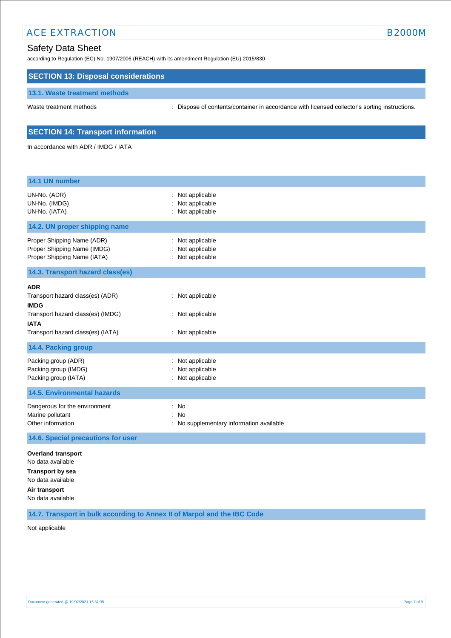# ACE EXTRACTION BELOW BOOK AND THE SERVICE SERVICE SERVICE SERVICE SERVICE SERVICE SERVICE SERVICE SERVICE SERVICE SERVICE SERVICE SERVICE SERVICE SERVICE SERVICE SERVICE SERVICE SERVICE SERVICE SERVICE SERVICE SERVICE SERV

according to Regulation (EC) No. 1907/2006 (REACH) with its amendment Regulation (EU) 2015/830

# **SECTION 13: Disposal considerations**

## **13.1. Waste treatment methods**

Waste treatment methods : Dispose of contents/container in accordance with licensed collector's sorting instructions.

# **SECTION 14: Transport information**

In accordance with ADR / IMDG / IATA

| 14.1 UN number                                                                                                                                         |                                                                     |
|--------------------------------------------------------------------------------------------------------------------------------------------------------|---------------------------------------------------------------------|
| UN-No. (ADR)<br>UN-No. (IMDG)<br>UN-No. (IATA)                                                                                                         | Not applicable<br>Not applicable<br>Not applicable                  |
| 14.2. UN proper shipping name                                                                                                                          |                                                                     |
| Proper Shipping Name (ADR)<br>Proper Shipping Name (IMDG)<br>Proper Shipping Name (IATA)                                                               | Not applicable<br>Not applicable<br>: Not applicable                |
| 14.3. Transport hazard class(es)                                                                                                                       |                                                                     |
| <b>ADR</b><br>Transport hazard class(es) (ADR)<br><b>IMDG</b><br>Transport hazard class(es) (IMDG)<br><b>IATA</b><br>Transport hazard class(es) (IATA) | : Not applicable<br>: Not applicable<br>: Not applicable            |
| 14.4. Packing group                                                                                                                                    |                                                                     |
| Packing group (ADR)<br>Packing group (IMDG)<br>Packing group (IATA)                                                                                    | Not applicable<br>Not applicable<br>Not applicable                  |
| <b>14.5. Environmental hazards</b>                                                                                                                     |                                                                     |
| Dangerous for the environment<br>Marine pollutant<br>Other information                                                                                 | No<br>÷<br><b>No</b><br>÷<br>No supplementary information available |
| 14.6. Special precautions for user                                                                                                                     |                                                                     |
| <b>Overland transport</b><br>No data available<br><b>Transport by sea</b><br>No data available<br>Air transport<br>No data available                   |                                                                     |

**14.7. Transport in bulk according to Annex II of Marpol and the IBC Code**

Not applicable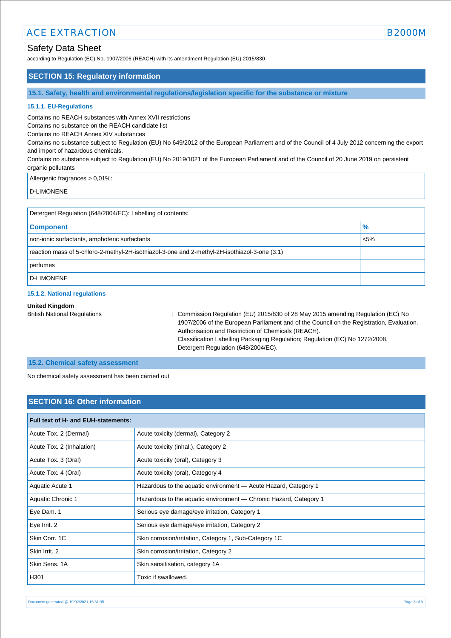# ACE EXTRACTION AND RESERVE THE RESERVE THAT IS A REPORT OF THE B2000M B2000M

# Safety Data Sheet

according to Regulation (EC) No. 1907/2006 (REACH) with its amendment Regulation (EU) 2015/830

# **SECTION 15: Regulatory information**

**15.1. Safety, health and environmental regulations/legislation specific for the substance or mixture**

# **15.1.1. EU-Regulations**

Contains no REACH substances with Annex XVII restrictions

Contains no substance on the REACH candidate list

Contains no REACH Annex XIV substances

Contains no substance subject to Regulation (EU) No 649/2012 of the European Parliament and of the Council of 4 July 2012 concerning the export and import of hazardous chemicals.

Contains no substance subject to Regulation (EU) No 2019/1021 of the European Parliament and of the Council of 20 June 2019 on persistent organic pollutants

Allergenic fragrances > 0,01%:

D-LIMONENE

| Detergent Regulation (648/2004/EC): Labelling of contents:                                    |         |  |
|-----------------------------------------------------------------------------------------------|---------|--|
| <b>Component</b>                                                                              | %       |  |
| non-ionic surfactants, amphoteric surfactants                                                 | $< 5\%$ |  |
| reaction mass of 5-chloro-2-methyl-2H-isothiazol-3-one and 2-methyl-2H-isothiazol-3-one (3:1) |         |  |
| perfumes                                                                                      |         |  |
| D-LIMONENE                                                                                    |         |  |

## **15.1.2. National regulations**

#### **United Kingdom**

British National Regulations : Commission Regulation (EU) 2015/830 of 28 May 2015 amending Regulation (EC) No 1907/2006 of the European Parliament and of the Council on the Registration, Evaluation, Authorisation and Restriction of Chemicals (REACH). Classification Labelling Packaging Regulation; Regulation (EC) No 1272/2008. Detergent Regulation (648/2004/EC).

# **15.2. Chemical safety assessment**

No chemical safety assessment has been carried out

# **SECTION 16: Other information**

| Full text of H- and EUH-statements: |                                                                   |  |
|-------------------------------------|-------------------------------------------------------------------|--|
| Acute Tox. 2 (Dermal)               | Acute toxicity (dermal), Category 2                               |  |
| Acute Tox. 2 (Inhalation)           | Acute toxicity (inhal.), Category 2                               |  |
| Acute Tox. 3 (Oral)                 | Acute toxicity (oral), Category 3                                 |  |
| Acute Tox. 4 (Oral)                 | Acute toxicity (oral), Category 4                                 |  |
| Aquatic Acute 1                     | Hazardous to the aquatic environment - Acute Hazard, Category 1   |  |
| Aquatic Chronic 1                   | Hazardous to the aquatic environment — Chronic Hazard, Category 1 |  |
| Eye Dam. 1                          | Serious eye damage/eye irritation, Category 1                     |  |
| Eye Irrit. 2                        | Serious eye damage/eye irritation, Category 2                     |  |
| Skin Corr. 1C                       | Skin corrosion/irritation, Category 1, Sub-Category 1C            |  |
| Skin Irrit, 2                       | Skin corrosion/irritation, Category 2                             |  |
| Skin Sens, 1A                       | Skin sensitisation, category 1A                                   |  |
| H301                                | Toxic if swallowed.                                               |  |